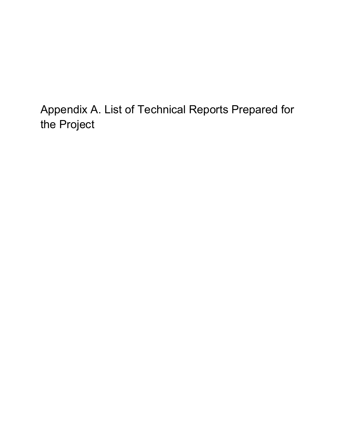Appendix A. List of Technical Reports Prepared for the Project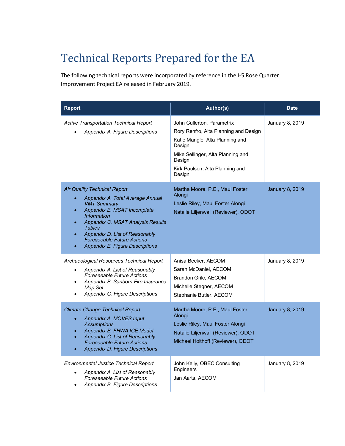## Technical Reports Prepared for the EA

The following technical reports were incorporated by reference in the I-5 Rose Quarter Improvement Project EA released in February 2019.

| <b>Report</b>                                                                                                                                                                                                                                                                                                      | Author(s)                                                                                                                                                                                                    | <b>Date</b>            |
|--------------------------------------------------------------------------------------------------------------------------------------------------------------------------------------------------------------------------------------------------------------------------------------------------------------------|--------------------------------------------------------------------------------------------------------------------------------------------------------------------------------------------------------------|------------------------|
| Active Transportation Technical Report<br>Appendix A. Figure Descriptions                                                                                                                                                                                                                                          | John Cullerton, Parametrix<br>Rory Renfro, Alta Planning and Design<br>Katie Mangle, Alta Planning and<br>Design<br>Mike Sellinger, Alta Planning and<br>Design<br>Kirk Paulson, Alta Planning and<br>Design | January 8, 2019        |
| <b>Air Quality Technical Report</b><br>Appendix A. Total Average Annual<br><b>VMT Summary</b><br>Appendix B. MSAT Incomplete<br><i>Information</i><br>Appendix C. MSAT Analysis Results<br><b>Tables</b><br>Appendix D. List of Reasonably<br><b>Foreseeable Future Actions</b><br>Appendix E. Figure Descriptions | Martha Moore, P.E., Maul Foster<br>Alongi<br>Leslie Riley, Maul Foster Alongi<br>Natalie Liljenwall (Reviewer), ODOT                                                                                         | <b>January 8, 2019</b> |
| Archaeological Resources Technical Report<br>Appendix A. List of Reasonably<br>$\bullet$<br><b>Foreseeable Future Actions</b><br>Appendix B. Sanborn Fire Insurance<br>$\bullet$<br>Map Set<br>Appendix C. Figure Descriptions                                                                                     | Anisa Becker, AECOM<br>Sarah McDaniel, AECOM<br>Brandon Grilc, AECOM<br>Michelle Stegner, AECOM<br>Stephanie Butler, AECOM                                                                                   | January 8, 2019        |
| <b>Climate Change Technical Report</b><br>Appendix A. MOVES Input<br>$\bullet$<br><b>Assumptions</b><br>Appendix B. FHWA ICE Model<br>Appendix C. List of Reasonably<br><b>Foreseeable Future Actions</b><br>Appendix D. Figure Descriptions                                                                       | Martha Moore, P.E., Maul Foster<br>Alongi<br>Leslie Riley, Maul Foster Alongi<br>Natalie Liljenwall (Reviewer), ODOT<br>Michael Holthoff (Reviewer), ODOT                                                    | <b>January 8, 2019</b> |
| <b>Environmental Justice Technical Report</b><br>Appendix A. List of Reasonably<br>$\bullet$<br><b>Foreseeable Future Actions</b><br>Appendix B. Figure Descriptions                                                                                                                                               | John Kelly, OBEC Consulting<br>Engineers<br>Jan Aarts, AECOM                                                                                                                                                 | January 8, 2019        |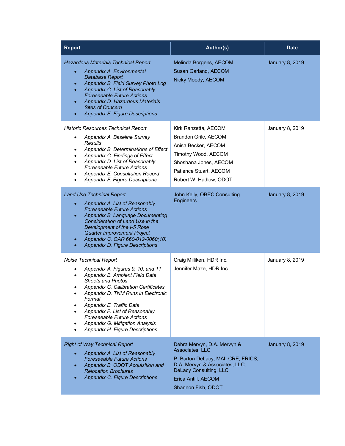| <b>Report</b>                                                                                                                                                                                                                                                                                                                                                                                                | Author(s)                                                                                                                                                                                            | <b>Date</b>            |
|--------------------------------------------------------------------------------------------------------------------------------------------------------------------------------------------------------------------------------------------------------------------------------------------------------------------------------------------------------------------------------------------------------------|------------------------------------------------------------------------------------------------------------------------------------------------------------------------------------------------------|------------------------|
| <b>Hazardous Materials Technical Report</b><br>Appendix A. Environmental<br>$\bullet$<br>Database Report<br>Appendix B. Field Survey Photo Log<br>$\bullet$<br>Appendix C. List of Reasonably<br><b>Foreseeable Future Actions</b><br>Appendix D. Hazardous Materials<br><b>Sites of Concern</b><br>Appendix E. Figure Descriptions                                                                          | Melinda Borgens, AECOM<br>Susan Garland, AECOM<br>Nicky Moody, AECOM                                                                                                                                 | <b>January 8, 2019</b> |
| <b>Historic Resources Technical Report</b><br>Appendix A. Baseline Survey<br>٠<br>Results<br>Appendix B. Determinations of Effect<br>٠<br>Appendix C. Findings of Effect<br>Appendix D. List of Reasonably<br><b>Foreseeable Future Actions</b><br>Appendix E. Consultation Record<br>٠<br>Appendix F. Figure Descriptions<br>$\bullet$                                                                      | Kirk Ranzetta, AECOM<br>Brandon Grilc, AECOM<br>Anisa Becker, AECOM<br>Timothy Wood, AECOM<br>Shoshana Jones, AECOM<br>Patience Stuart, AECOM<br>Robert W. Hadlow, ODOT                              | January 8, 2019        |
| <b>Land Use Technical Report</b><br>Appendix A. List of Reasonably<br><b>Foreseeable Future Actions</b><br>Appendix B. Language Documenting<br>$\bullet$<br>Consideration of Land Use in the<br>Development of the I-5 Rose<br>Quarter Improvement Project<br>Appendix C. OAR 660-012-0060(10)<br>$\bullet$<br>Appendix D. Figure Descriptions<br>$\bullet$                                                  | John Kelly, OBEC Consulting<br><b>Engineers</b>                                                                                                                                                      | <b>January 8, 2019</b> |
| Noise Technical Report<br>Appendix A. Figures 9, 10, and 11<br>٠<br>Appendix B. Ambient Field Data<br>$\bullet$<br><b>Sheets and Photos</b><br>Appendix C. Calibration Certificates<br>Appendix D. TNM Runs in Electronic<br>Format<br>Appendix E. Traffic Data<br>Appendix F. List of Reasonably<br><b>Foreseeable Future Actions</b><br>Appendix G. Mitigation Analysis<br>Appendix H. Figure Descriptions | Craig Milliken, HDR Inc.<br>Jennifer Maze, HDR Inc.                                                                                                                                                  | January 8, 2019        |
| <b>Right of Way Technical Report</b><br>Appendix A. List of Reasonably<br><b>Foreseeable Future Actions</b><br>Appendix B. ODOT Acquisition and<br><b>Relocation Brochures</b><br><b>Appendix C. Figure Descriptions</b>                                                                                                                                                                                     | Debra Mervyn, D.A. Mervyn &<br>Associates, LLC<br>P. Barton DeLacy, MAI, CRE, FRICS,<br>D.A. Mervyn & Associates, LLC;<br><b>DeLacy Consulting, LLC</b><br>Erica Antill, AECOM<br>Shannon Fish, ODOT | <b>January 8, 2019</b> |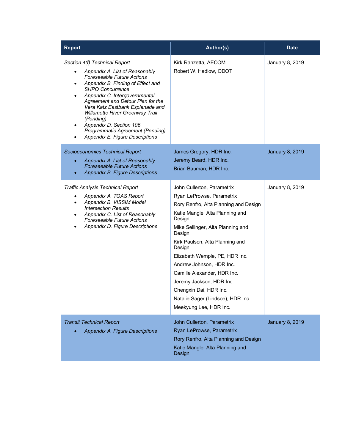| <b>Report</b>                                                                                                                                                                                                                                                                                                                                                                                                                        | Author(s)                                                                                                                                                                                                                                                                                                                                                                                                                                                   | <b>Date</b>            |
|--------------------------------------------------------------------------------------------------------------------------------------------------------------------------------------------------------------------------------------------------------------------------------------------------------------------------------------------------------------------------------------------------------------------------------------|-------------------------------------------------------------------------------------------------------------------------------------------------------------------------------------------------------------------------------------------------------------------------------------------------------------------------------------------------------------------------------------------------------------------------------------------------------------|------------------------|
| Section 4(f) Technical Report<br>Appendix A. List of Reasonably<br>Foreseeable Future Actions<br>Appendix B. Finding of Effect and<br>SHPO Concurrence<br>Appendix C. Intergovernmental<br>$\bullet$<br>Agreement and Detour Plan for the<br>Vera Katz Eastbank Esplanade and<br>Willamette River Greenway Trail<br>(Pending)<br>Appendix D. Section 106<br>٠<br>Programmatic Agreement (Pending)<br>Appendix E. Figure Descriptions | Kirk Ranzetta, AECOM<br>Robert W. Hadlow, ODOT                                                                                                                                                                                                                                                                                                                                                                                                              | January 8, 2019        |
| Socioeconomics Technical Report<br>Appendix A. List of Reasonably<br>$\bullet$<br><b>Foreseeable Future Actions</b><br>Appendix B. Figure Descriptions<br>$\bullet$                                                                                                                                                                                                                                                                  | James Gregory, HDR Inc.<br>Jeremy Beard, HDR Inc.<br>Brian Bauman, HDR Inc.                                                                                                                                                                                                                                                                                                                                                                                 | <b>January 8, 2019</b> |
| <b>Traffic Analysis Technical Report</b><br>Appendix A. TOAS Report<br>Appendix B. VISSIM Model<br><b>Intersection Results</b><br>Appendix C. List of Reasonably<br>$\bullet$<br>Foreseeable Future Actions<br>Appendix D. Figure Descriptions<br>$\bullet$                                                                                                                                                                          | John Cullerton, Parametrix<br>Ryan LeProwse, Parametrix<br>Rory Renfro, Alta Planning and Design<br>Katie Mangle, Alta Planning and<br>Design<br>Mike Sellinger, Alta Planning and<br>Design<br>Kirk Paulson, Alta Planning and<br>Design<br>Elizabeth Wemple, PE, HDR Inc.<br>Andrew Johnson, HDR Inc.<br>Camille Alexander, HDR Inc.<br>Jeremy Jackson, HDR Inc.<br>Chengxin Dai, HDR Inc.<br>Natalie Sager (Lindsoe), HDR Inc.<br>Meekyung Lee, HDR Inc. | January 8, 2019        |
| <b>Transit Technical Report</b><br>Appendix A. Figure Descriptions                                                                                                                                                                                                                                                                                                                                                                   | John Cullerton, Parametrix<br>Ryan LeProwse, Parametrix<br>Rory Renfro, Alta Planning and Design<br>Katie Mangle, Alta Planning and<br>Design                                                                                                                                                                                                                                                                                                               | <b>January 8, 2019</b> |